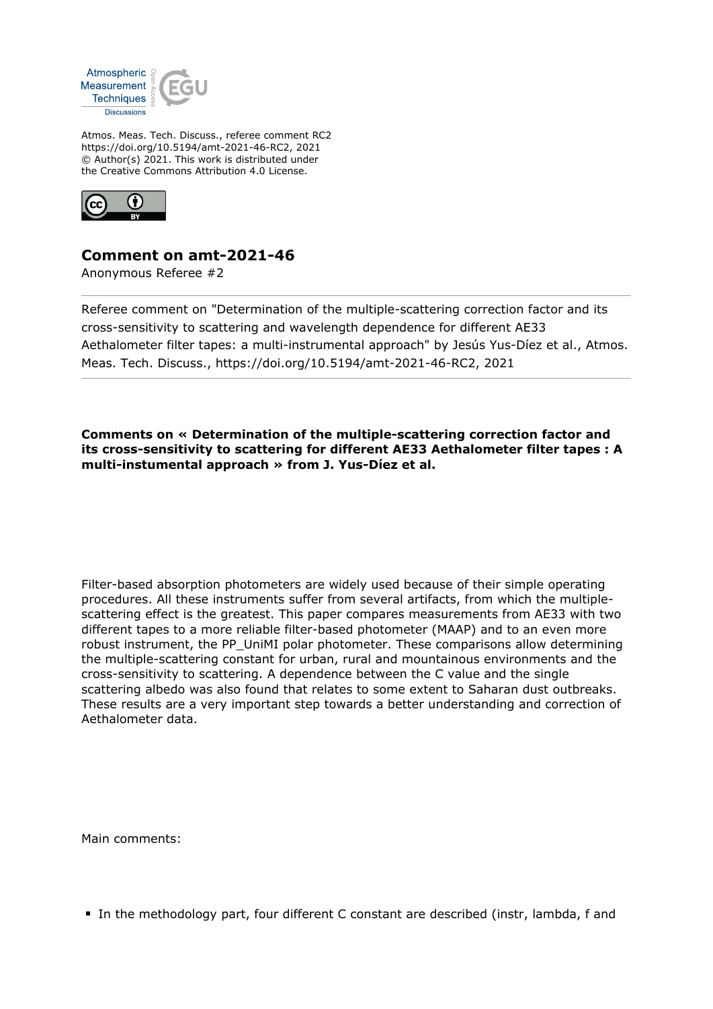

Atmos. Meas. Tech. Discuss., referee comment RC2 https://doi.org/10.5194/amt-2021-46-RC2, 2021 © Author(s) 2021. This work is distributed under the Creative Commons Attribution 4.0 License.



## **Comment on amt-2021-46**

Anonymous Referee #2

Referee comment on "Determination of the multiple-scattering correction factor and its cross-sensitivity to scattering and wavelength dependence for different AE33 Aethalometer filter tapes: a multi-instrumental approach" by Jesús Yus-Díez et al., Atmos. Meas. Tech. Discuss., https://doi.org/10.5194/amt-2021-46-RC2, 2021

**Comments on « Determination of the multiple-scattering correction factor and its cross-sensitivity to scattering for different AE33 Aethalometer filter tapes : A multi-instumental approach » from J. Yus-Díez et al.**

Filter-based absorption photometers are widely used because of their simple operating procedures. All these instruments suffer from several artifacts, from which the multiplescattering effect is the greatest. This paper compares measurements from AE33 with two different tapes to a more reliable filter-based photometer (MAAP) and to an even more robust instrument, the PP\_UniMI polar photometer. These comparisons allow determining the multiple-scattering constant for urban, rural and mountainous environments and the cross-sensitivity to scattering. A dependence between the C value and the single scattering albedo was also found that relates to some extent to Saharan dust outbreaks. These results are a very important step towards a better understanding and correction of Aethalometer data.

Main comments:

In the methodology part, four different C constant are described (instr, lambda, f and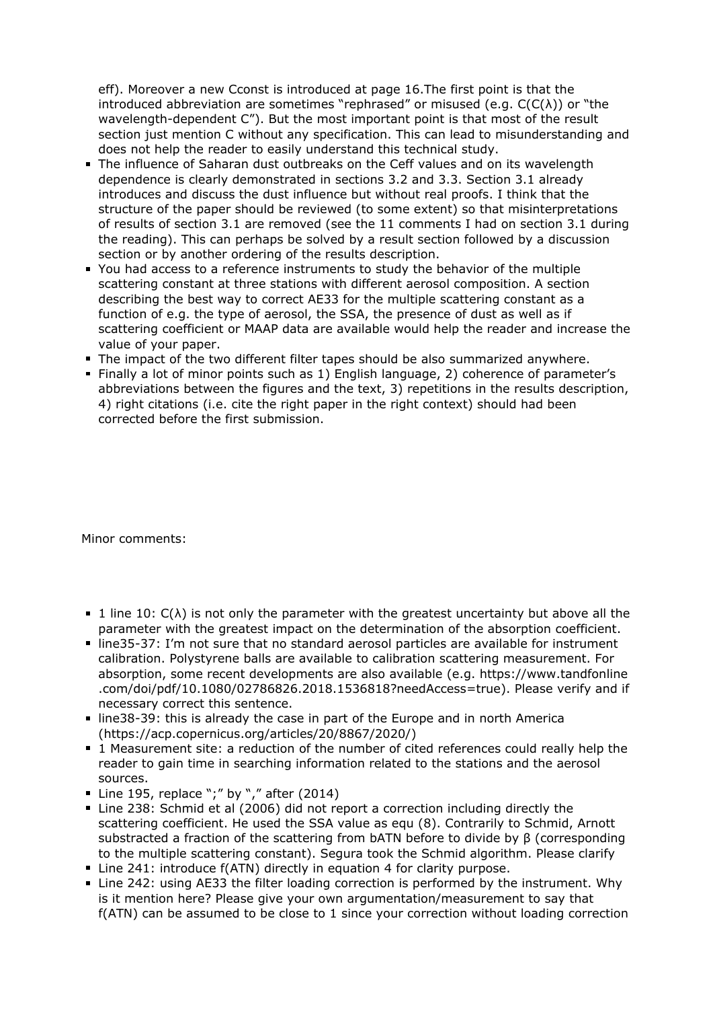eff). Moreover a new Cconst is introduced at page 16.The first point is that the introduced abbreviation are sometimes "rephrased" or misused (e.g.  $C(C(\lambda))$  or "the wavelength-dependent C"). But the most important point is that most of the result section just mention C without any specification. This can lead to misunderstanding and does not help the reader to easily understand this technical study.

- The influence of Saharan dust outbreaks on the Ceff values and on its wavelength dependence is clearly demonstrated in sections 3.2 and 3.3. Section 3.1 already introduces and discuss the dust influence but without real proofs. I think that the structure of the paper should be reviewed (to some extent) so that misinterpretations of results of section 3.1 are removed (see the 11 comments I had on section 3.1 during the reading). This can perhaps be solved by a result section followed by a discussion section or by another ordering of the results description.
- You had access to a reference instruments to study the behavior of the multiple scattering constant at three stations with different aerosol composition. A section describing the best way to correct AE33 for the multiple scattering constant as a function of e.g. the type of aerosol, the SSA, the presence of dust as well as if scattering coefficient or MAAP data are available would help the reader and increase the value of your paper.
- The impact of the two different filter tapes should be also summarized anywhere.
- Finally a lot of minor points such as 1) English language, 2) coherence of parameter's abbreviations between the figures and the text, 3) repetitions in the results description, 4) right citations (i.e. cite the right paper in the right context) should had been corrected before the first submission.

Minor comments:

- $\blacksquare$  1 line 10:  $C(\lambda)$  is not only the parameter with the greatest uncertainty but above all the parameter with the greatest impact on the determination of the absorption coefficient.
- line35-37: I'm not sure that no standard aerosol particles are available for instrument calibration. Polystyrene balls are available to calibration scattering measurement. For absorption, some recent developments are also available (e.g. https://www.tandfonline .com/doi/pdf/10.1080/02786826.2018.1536818?needAccess=true). Please verify and if necessary correct this sentence.
- line38-39: this is already the case in part of the Europe and in north America (https://acp.copernicus.org/articles/20/8867/2020/)
- 1 Measurement site: a reduction of the number of cited references could really help the reader to gain time in searching information related to the stations and the aerosol sources.
- Line 195, replace ";" by "," after  $(2014)$
- Line 238: Schmid et al (2006) did not report a correction including directly the scattering coefficient. He used the SSA value as equ (8). Contrarily to Schmid, Arnott substracted a fraction of the scattering from bATN before to divide by β (corresponding to the multiple scattering constant). Segura took the Schmid algorithm. Please clarify
- Line 241: introduce f(ATN) directly in equation 4 for clarity purpose.
- Line 242: using AE33 the filter loading correction is performed by the instrument. Why is it mention here? Please give your own argumentation/measurement to say that f(ATN) can be assumed to be close to 1 since your correction without loading correction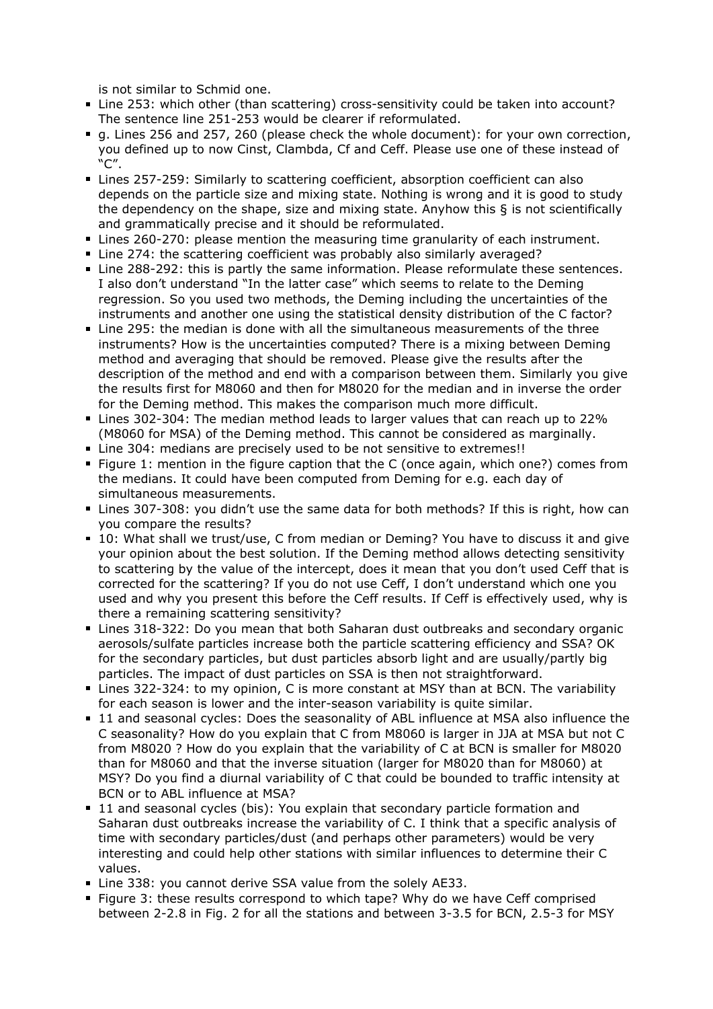is not similar to Schmid one.

- Line 253: which other (than scattering) cross-sensitivity could be taken into account? The sentence line 251-253 would be clearer if reformulated.
- g. Lines 256 and 257, 260 (please check the whole document): for your own correction, you defined up to now Cinst, Clambda, Cf and Ceff. Please use one of these instead of "C".
- Lines 257-259: Similarly to scattering coefficient, absorption coefficient can also depends on the particle size and mixing state. Nothing is wrong and it is good to study the dependency on the shape, size and mixing state. Anyhow this  $\xi$  is not scientifically and grammatically precise and it should be reformulated.
- Lines 260-270: please mention the measuring time granularity of each instrument.
- Line 274: the scattering coefficient was probably also similarly averaged?
- Line 288-292: this is partly the same information. Please reformulate these sentences. I also don't understand "In the latter case" which seems to relate to the Deming regression. So you used two methods, the Deming including the uncertainties of the instruments and another one using the statistical density distribution of the C factor?
- Line 295: the median is done with all the simultaneous measurements of the three instruments? How is the uncertainties computed? There is a mixing between Deming method and averaging that should be removed. Please give the results after the description of the method and end with a comparison between them. Similarly you give the results first for M8060 and then for M8020 for the median and in inverse the order for the Deming method. This makes the comparison much more difficult.
- Lines 302-304: The median method leads to larger values that can reach up to 22% (M8060 for MSA) of the Deming method. This cannot be considered as marginally.
- Line 304: medians are precisely used to be not sensitive to extremes!!
- Figure 1: mention in the figure caption that the C (once again, which one?) comes from the medians. It could have been computed from Deming for e.g. each day of simultaneous measurements.
- Lines 307-308: you didn't use the same data for both methods? If this is right, how can you compare the results?
- 10: What shall we trust/use, C from median or Deming? You have to discuss it and give your opinion about the best solution. If the Deming method allows detecting sensitivity to scattering by the value of the intercept, does it mean that you don't used Ceff that is corrected for the scattering? If you do not use Ceff, I don't understand which one you used and why you present this before the Ceff results. If Ceff is effectively used, why is there a remaining scattering sensitivity?
- Lines 318-322: Do you mean that both Saharan dust outbreaks and secondary organic aerosols/sulfate particles increase both the particle scattering efficiency and SSA? OK for the secondary particles, but dust particles absorb light and are usually/partly big particles. The impact of dust particles on SSA is then not straightforward.
- Lines 322-324: to my opinion, C is more constant at MSY than at BCN. The variability for each season is lower and the inter-season variability is quite similar.
- 11 and seasonal cycles: Does the seasonality of ABL influence at MSA also influence the C seasonality? How do you explain that C from M8060 is larger in JJA at MSA but not C from M8020 ? How do you explain that the variability of C at BCN is smaller for M8020 than for M8060 and that the inverse situation (larger for M8020 than for M8060) at MSY? Do you find a diurnal variability of C that could be bounded to traffic intensity at BCN or to ABL influence at MSA?
- 11 and seasonal cycles (bis): You explain that secondary particle formation and Saharan dust outbreaks increase the variability of C. I think that a specific analysis of time with secondary particles/dust (and perhaps other parameters) would be very interesting and could help other stations with similar influences to determine their C values.
- Line 338: you cannot derive SSA value from the solely AE33.
- Figure 3: these results correspond to which tape? Why do we have Ceff comprised between 2-2.8 in Fig. 2 for all the stations and between 3-3.5 for BCN, 2.5-3 for MSY